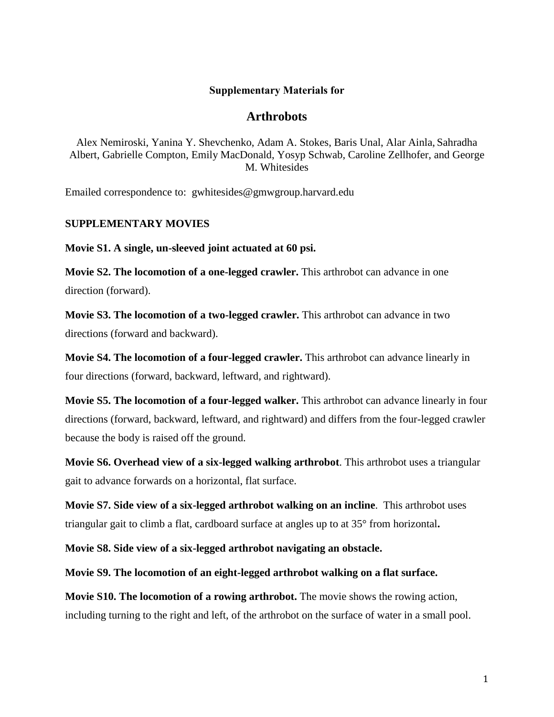## **Supplementary Materials for**

## **Arthrobots**

Alex Nemiroski, Yanina Y. Shevchenko, Adam A. Stokes, Baris Unal, Alar Ainla, Sahradha Albert, Gabrielle Compton, Emily MacDonald, Yosyp Schwab, Caroline Zellhofer, and George M. Whitesides

Emailed correspondence to: gwhitesides@gmwgroup.harvard.edu

## **SUPPLEMENTARY MOVIES**

**Movie S1. A single, un-sleeved joint actuated at 60 psi.**

**Movie S2. The locomotion of a one-legged crawler.** This arthrobot can advance in one direction (forward).

**Movie S3. The locomotion of a two-legged crawler.** This arthrobot can advance in two directions (forward and backward).

**Movie S4. The locomotion of a four-legged crawler.** This arthrobot can advance linearly in four directions (forward, backward, leftward, and rightward).

**Movie S5. The locomotion of a four-legged walker.** This arthrobot can advance linearly in four directions (forward, backward, leftward, and rightward) and differs from the four-legged crawler because the body is raised off the ground.

**Movie S6. Overhead view of a six-legged walking arthrobot**. This arthrobot uses a triangular gait to advance forwards on a horizontal, flat surface.

**Movie S7. Side view of a six-legged arthrobot walking on an incline**. This arthrobot uses triangular gait to climb a flat, cardboard surface at angles up to at 35° from horizontal**.**

**Movie S8. Side view of a six-legged arthrobot navigating an obstacle.**

**Movie S9. The locomotion of an eight-legged arthrobot walking on a flat surface.** 

**Movie S10. The locomotion of a rowing arthrobot.** The movie shows the rowing action, including turning to the right and left, of the arthrobot on the surface of water in a small pool.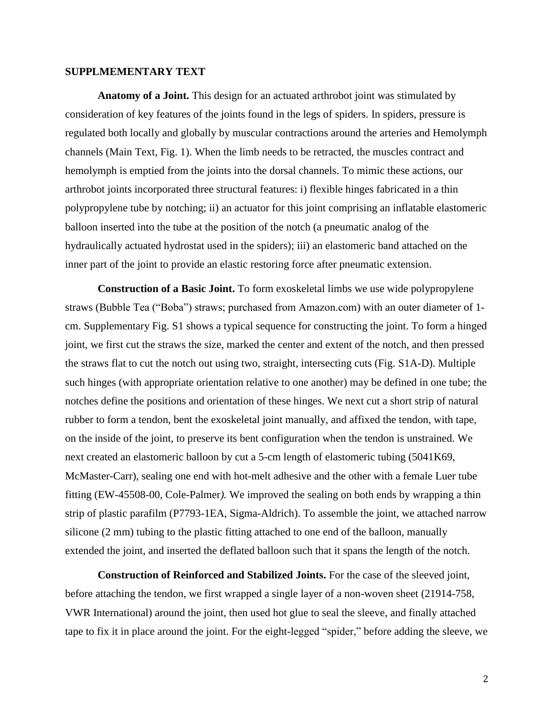## **SUPPLMEMENTARY TEXT**

**Anatomy of a Joint.** This design for an actuated arthrobot joint was stimulated by consideration of key features of the joints found in the legs of spiders. In spiders, pressure is regulated both locally and globally by muscular contractions around the arteries and Hemolymph channels (Main Text, Fig. 1). When the limb needs to be retracted, the muscles contract and hemolymph is emptied from the joints into the dorsal channels. To mimic these actions, our arthrobot joints incorporated three structural features: i) flexible hinges fabricated in a thin polypropylene tube by notching; ii) an actuator for this joint comprising an inflatable elastomeric balloon inserted into the tube at the position of the notch (a pneumatic analog of the hydraulically actuated hydrostat used in the spiders); iii) an elastomeric band attached on the inner part of the joint to provide an elastic restoring force after pneumatic extension.

**Construction of a Basic Joint.** To form exoskeletal limbs we use wide polypropylene straws (Bubble Tea ("Boba") straws; purchased from Amazon.com) with an outer diameter of 1 cm. Supplementary Fig. S1 shows a typical sequence for constructing the joint. To form a hinged joint, we first cut the straws the size, marked the center and extent of the notch, and then pressed the straws flat to cut the notch out using two, straight, intersecting cuts (Fig. S1A-D). Multiple such hinges (with appropriate orientation relative to one another) may be defined in one tube; the notches define the positions and orientation of these hinges. We next cut a short strip of natural rubber to form a tendon, bent the exoskeletal joint manually, and affixed the tendon, with tape, on the inside of the joint, to preserve its bent configuration when the tendon is unstrained. We next created an elastomeric balloon by cut a 5-cm length of elastomeric tubing (5041K69, McMaster-Carr), sealing one end with hot-melt adhesive and the other with a female Luer tube fitting (EW-45508-00, Cole-Palmer*).* We improved the sealing on both ends by wrapping a thin strip of plastic parafilm (P7793-1EA, Sigma-Aldrich). To assemble the joint, we attached narrow silicone (2 mm) tubing to the plastic fitting attached to one end of the balloon, manually extended the joint, and inserted the deflated balloon such that it spans the length of the notch.

**Construction of Reinforced and Stabilized Joints.** For the case of the sleeved joint, before attaching the tendon, we first wrapped a single layer of a non-woven sheet (21914-758, VWR International) around the joint, then used hot glue to seal the sleeve, and finally attached tape to fix it in place around the joint. For the eight-legged "spider," before adding the sleeve, we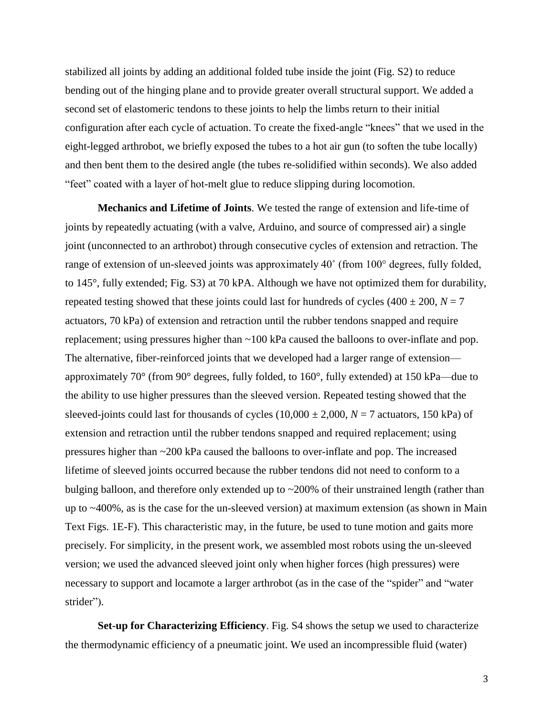stabilized all joints by adding an additional folded tube inside the joint (Fig. S2) to reduce bending out of the hinging plane and to provide greater overall structural support. We added a second set of elastomeric tendons to these joints to help the limbs return to their initial configuration after each cycle of actuation. To create the fixed-angle "knees" that we used in the eight-legged arthrobot, we briefly exposed the tubes to a hot air gun (to soften the tube locally) and then bent them to the desired angle (the tubes re-solidified within seconds). We also added "feet" coated with a layer of hot-melt glue to reduce slipping during locomotion.

**Mechanics and Lifetime of Joints**. We tested the range of extension and life-time of joints by repeatedly actuating (with a valve, Arduino, and source of compressed air) a single joint (unconnected to an arthrobot) through consecutive cycles of extension and retraction. The range of extension of un-sleeved joints was approximately 40˚ (from 100° degrees, fully folded, to 145°, fully extended; Fig. S3) at 70 kPA. Although we have not optimized them for durability, repeated testing showed that these joints could last for hundreds of cycles  $(400 \pm 200, N = 7)$ actuators, 70 kPa) of extension and retraction until the rubber tendons snapped and require replacement; using pressures higher than ~100 kPa caused the balloons to over-inflate and pop. The alternative, fiber-reinforced joints that we developed had a larger range of extension approximately 70° (from 90° degrees, fully folded, to 160°, fully extended) at 150 kPa—due to the ability to use higher pressures than the sleeved version. Repeated testing showed that the sleeved-joints could last for thousands of cycles  $(10,000 \pm 2,000, N = 7$  actuators, 150 kPa) of extension and retraction until the rubber tendons snapped and required replacement; using pressures higher than ~200 kPa caused the balloons to over-inflate and pop. The increased lifetime of sleeved joints occurred because the rubber tendons did not need to conform to a bulging balloon, and therefore only extended up to ~200% of their unstrained length (rather than up to ~400%, as is the case for the un-sleeved version) at maximum extension (as shown in Main Text Figs. 1E-F). This characteristic may, in the future, be used to tune motion and gaits more precisely. For simplicity, in the present work, we assembled most robots using the un-sleeved version; we used the advanced sleeved joint only when higher forces (high pressures) were necessary to support and locamote a larger arthrobot (as in the case of the "spider" and "water strider").

**Set-up for Characterizing Efficiency**. Fig. S4 shows the setup we used to characterize the thermodynamic efficiency of a pneumatic joint. We used an incompressible fluid (water)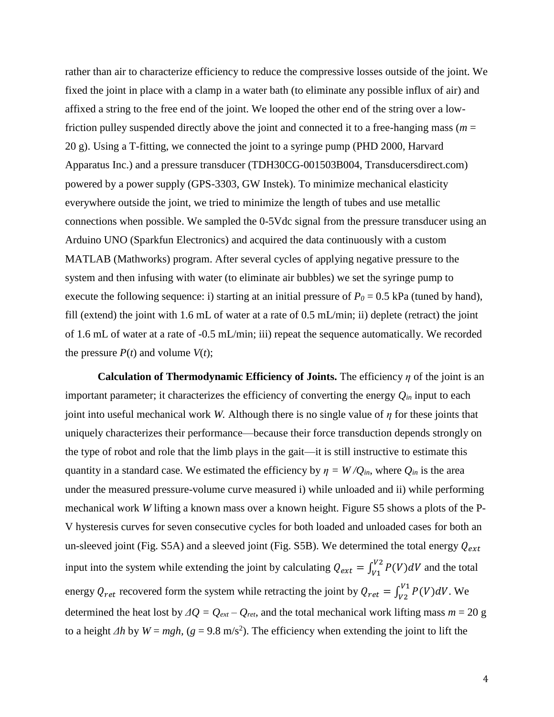rather than air to characterize efficiency to reduce the compressive losses outside of the joint. We fixed the joint in place with a clamp in a water bath (to eliminate any possible influx of air) and affixed a string to the free end of the joint. We looped the other end of the string over a lowfriction pulley suspended directly above the joint and connected it to a free-hanging mass ( $m =$ 20 g). Using a T-fitting, we connected the joint to a syringe pump (PHD 2000, Harvard Apparatus Inc.) and a pressure transducer (TDH30CG-001503B004, Transducersdirect.com) powered by a power supply (GPS-3303, GW Instek). To minimize mechanical elasticity everywhere outside the joint, we tried to minimize the length of tubes and use metallic connections when possible. We sampled the 0-5Vdc signal from the pressure transducer using an Arduino UNO (Sparkfun Electronics) and acquired the data continuously with a custom MATLAB (Mathworks) program. After several cycles of applying negative pressure to the system and then infusing with water (to eliminate air bubbles) we set the syringe pump to execute the following sequence: i) starting at an initial pressure of  $P_0 = 0.5$  kPa (tuned by hand), fill (extend) the joint with 1.6 mL of water at a rate of 0.5 mL/min; ii) deplete (retract) the joint of 1.6 mL of water at a rate of -0.5 mL/min; iii) repeat the sequence automatically. We recorded the pressure  $P(t)$  and volume  $V(t)$ ;

**Calculation of Thermodynamic Efficiency of Joints.** The efficiency *η* of the joint is an important parameter; it characterizes the efficiency of converting the energy  $Q_{in}$  input to each joint into useful mechanical work *W*. Although there is no single value of  $\eta$  for these joints that uniquely characterizes their performance—because their force transduction depends strongly on the type of robot and role that the limb plays in the gait—it is still instructive to estimate this quantity in a standard case. We estimated the efficiency by  $\eta = W/Q_{in}$ , where  $Q_{in}$  is the area under the measured pressure-volume curve measured i) while unloaded and ii) while performing mechanical work *W* lifting a known mass over a known height. Figure S5 shows a plots of the P-V hysteresis curves for seven consecutive cycles for both loaded and unloaded cases for both an un-sleeved joint (Fig. S5A) and a sleeved joint (Fig. S5B). We determined the total energy  $Q_{ext}$ input into the system while extending the joint by calculating  $Q_{ext} = \int_{V_1}^{V_2} P(V) dV$  and the total energy  $Q_{ret}$  recovered form the system while retracting the joint by  $Q_{ret} = \int_{V2}^{V1} P(V) dV$ . We determined the heat lost by  $\Delta Q = Q_{ext} - Q_{ret}$ , and the total mechanical work lifting mass  $m = 20$  g to a height  $\Delta h$  by  $W = mgh$ , ( $g = 9.8$  m/s<sup>2</sup>). The efficiency when extending the joint to lift the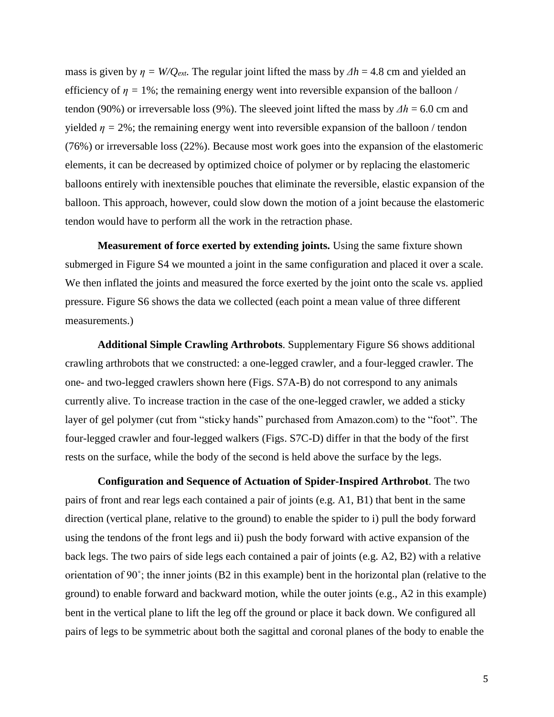mass is given by  $\eta = W/Q_{ext}$ . The regular joint lifted the mass by  $\Delta h = 4.8$  cm and yielded an efficiency of  $\eta = 1\%$ ; the remaining energy went into reversible expansion of the balloon / tendon (90%) or irreversable loss (9%). The sleeved joint lifted the mass by *Δh* = 6.0 cm and yielded  $\eta = 2\%$ ; the remaining energy went into reversible expansion of the balloon / tendon (76%) or irreversable loss (22%). Because most work goes into the expansion of the elastomeric elements, it can be decreased by optimized choice of polymer or by replacing the elastomeric balloons entirely with inextensible pouches that eliminate the reversible, elastic expansion of the balloon. This approach, however, could slow down the motion of a joint because the elastomeric tendon would have to perform all the work in the retraction phase.

**Measurement of force exerted by extending joints.** Using the same fixture shown submerged in Figure S4 we mounted a joint in the same configuration and placed it over a scale. We then inflated the joints and measured the force exerted by the joint onto the scale vs. applied pressure. Figure S6 shows the data we collected (each point a mean value of three different measurements.)

**Additional Simple Crawling Arthrobots**. Supplementary Figure S6 shows additional crawling arthrobots that we constructed: a one-legged crawler, and a four-legged crawler. The one- and two-legged crawlers shown here (Figs. S7A-B) do not correspond to any animals currently alive. To increase traction in the case of the one-legged crawler, we added a sticky layer of gel polymer (cut from "sticky hands" purchased from Amazon.com) to the "foot". The four-legged crawler and four-legged walkers (Figs. S7C-D) differ in that the body of the first rests on the surface, while the body of the second is held above the surface by the legs.

**Configuration and Sequence of Actuation of Spider-Inspired Arthrobot**. The two pairs of front and rear legs each contained a pair of joints (e.g. A1, B1) that bent in the same direction (vertical plane, relative to the ground) to enable the spider to i) pull the body forward using the tendons of the front legs and ii) push the body forward with active expansion of the back legs. The two pairs of side legs each contained a pair of joints (e.g. A2, B2) with a relative orientation of 90˚; the inner joints (B2 in this example) bent in the horizontal plan (relative to the ground) to enable forward and backward motion, while the outer joints (e.g., A2 in this example) bent in the vertical plane to lift the leg off the ground or place it back down. We configured all pairs of legs to be symmetric about both the sagittal and coronal planes of the body to enable the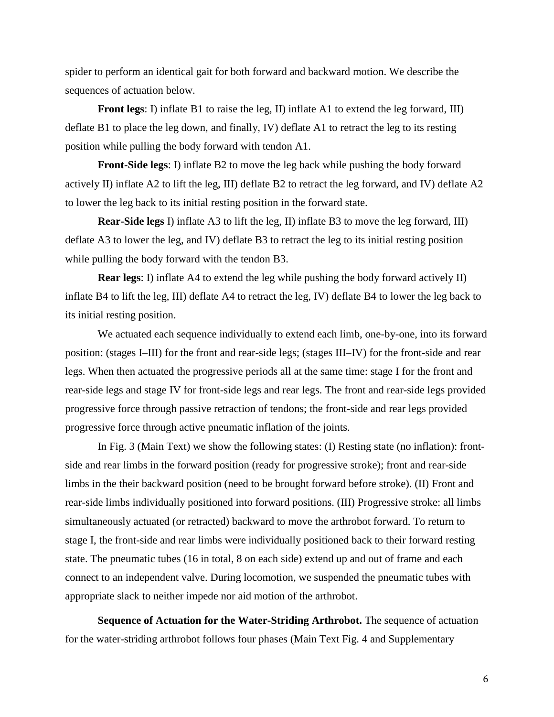spider to perform an identical gait for both forward and backward motion. We describe the sequences of actuation below.

**Front legs**: I) inflate B1 to raise the leg, II) inflate A1 to extend the leg forward, III) deflate B1 to place the leg down, and finally, IV) deflate A1 to retract the leg to its resting position while pulling the body forward with tendon A1.

**Front-Side legs**: I) inflate B2 to move the leg back while pushing the body forward actively II) inflate A2 to lift the leg, III) deflate B2 to retract the leg forward, and IV) deflate A2 to lower the leg back to its initial resting position in the forward state.

**Rear-Side legs** I) inflate A3 to lift the leg, II) inflate B3 to move the leg forward, III) deflate A3 to lower the leg, and IV) deflate B3 to retract the leg to its initial resting position while pulling the body forward with the tendon B3.

**Rear legs**: I) inflate A4 to extend the leg while pushing the body forward actively II) inflate B4 to lift the leg, III) deflate A4 to retract the leg, IV) deflate B4 to lower the leg back to its initial resting position.

We actuated each sequence individually to extend each limb, one-by-one, into its forward position: (stages I–III) for the front and rear-side legs; (stages III–IV) for the front-side and rear legs. When then actuated the progressive periods all at the same time: stage I for the front and rear-side legs and stage IV for front-side legs and rear legs. The front and rear-side legs provided progressive force through passive retraction of tendons; the front-side and rear legs provided progressive force through active pneumatic inflation of the joints.

In Fig. 3 (Main Text) we show the following states: (I) Resting state (no inflation): frontside and rear limbs in the forward position (ready for progressive stroke); front and rear-side limbs in the their backward position (need to be brought forward before stroke). (II) Front and rear-side limbs individually positioned into forward positions. (III) Progressive stroke: all limbs simultaneously actuated (or retracted) backward to move the arthrobot forward. To return to stage I, the front-side and rear limbs were individually positioned back to their forward resting state. The pneumatic tubes (16 in total, 8 on each side) extend up and out of frame and each connect to an independent valve. During locomotion, we suspended the pneumatic tubes with appropriate slack to neither impede nor aid motion of the arthrobot.

**Sequence of Actuation for the Water-Striding Arthrobot.** The sequence of actuation for the water-striding arthrobot follows four phases (Main Text Fig. 4 and Supplementary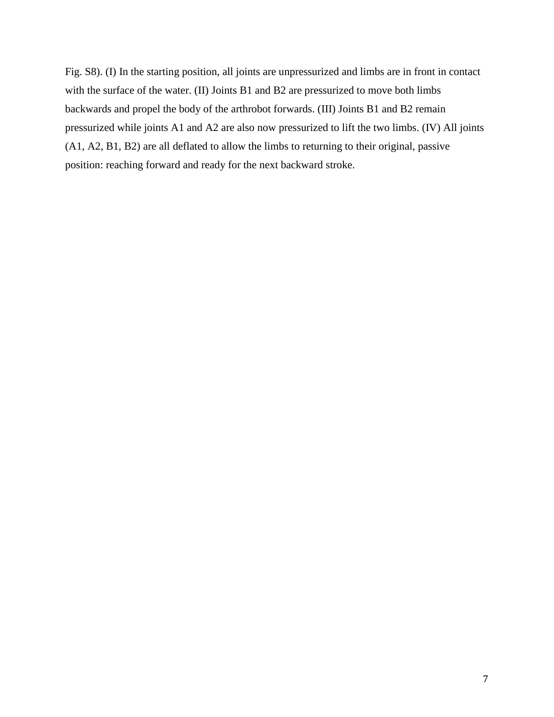Fig. S8). (I) In the starting position, all joints are unpressurized and limbs are in front in contact with the surface of the water. (II) Joints B1 and B2 are pressurized to move both limbs backwards and propel the body of the arthrobot forwards. (III) Joints B1 and B2 remain pressurized while joints A1 and A2 are also now pressurized to lift the two limbs. (IV) All joints (A1, A2, B1, B2) are all deflated to allow the limbs to returning to their original, passive position: reaching forward and ready for the next backward stroke.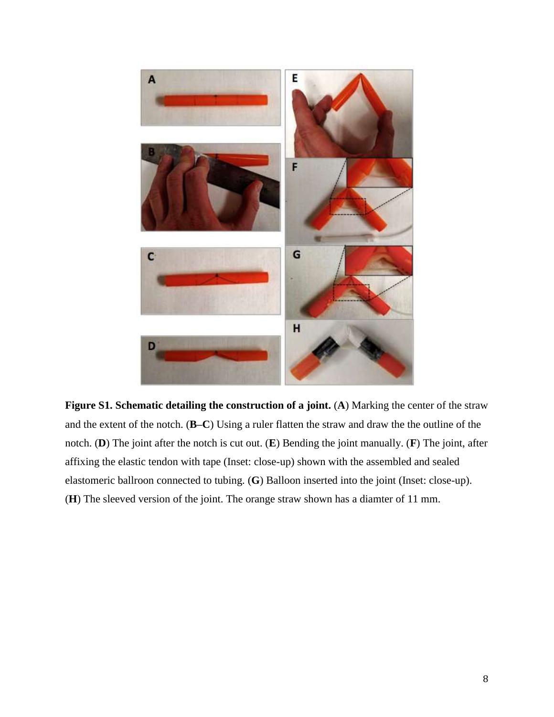

**Figure S1. Schematic detailing the construction of a joint.** (**A**) Marking the center of the straw and the extent of the notch. (**B–C**) Using a ruler flatten the straw and draw the the outline of the notch. (**D**) The joint after the notch is cut out. (**E**) Bending the joint manually. (**F**) The joint, after affixing the elastic tendon with tape (Inset: close-up) shown with the assembled and sealed elastomeric ballroon connected to tubing. (**G**) Balloon inserted into the joint (Inset: close-up). (**H**) The sleeved version of the joint. The orange straw shown has a diamter of 11 mm.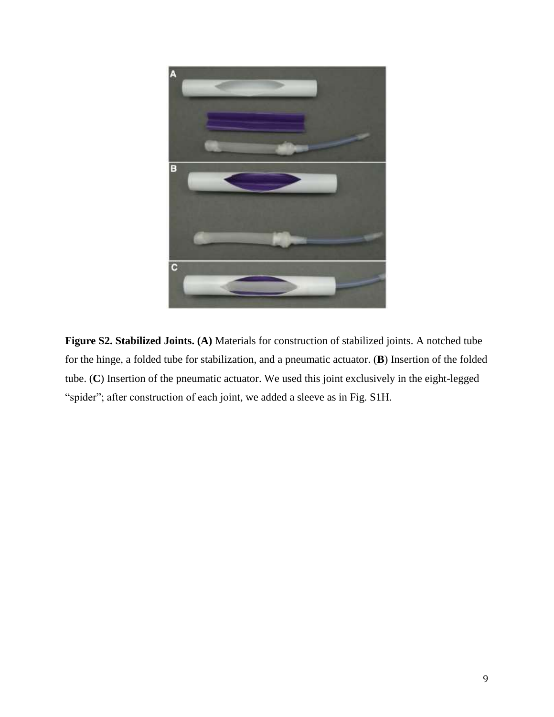

**Figure S2. Stabilized Joints. (A)** Materials for construction of stabilized joints. A notched tube for the hinge, a folded tube for stabilization, and a pneumatic actuator. (**B**) Insertion of the folded tube. (**C**) Insertion of the pneumatic actuator. We used this joint exclusively in the eight-legged "spider"; after construction of each joint, we added a sleeve as in Fig. S1H.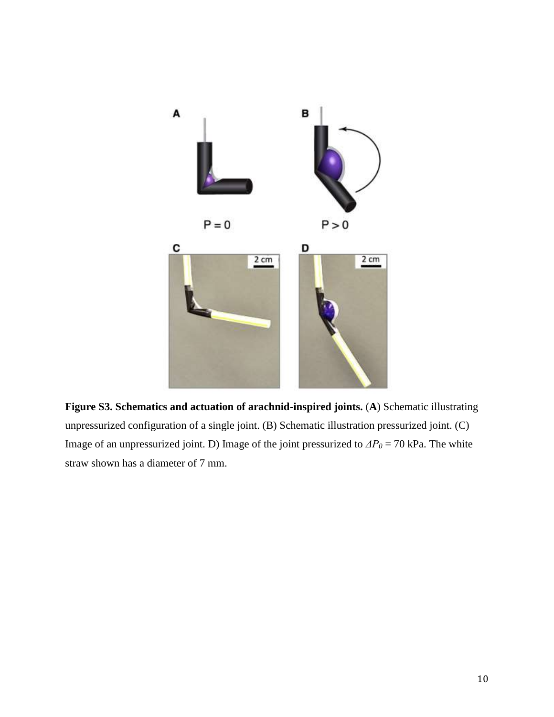

**Figure S3. Schematics and actuation of arachnid-inspired joints.** (**A**) Schematic illustrating unpressurized configuration of a single joint. (B) Schematic illustration pressurized joint. (C) Image of an unpressurized joint. D) Image of the joint pressurized to *ΔP<sup>0</sup>* = 70 kPa. The white straw shown has a diameter of 7 mm.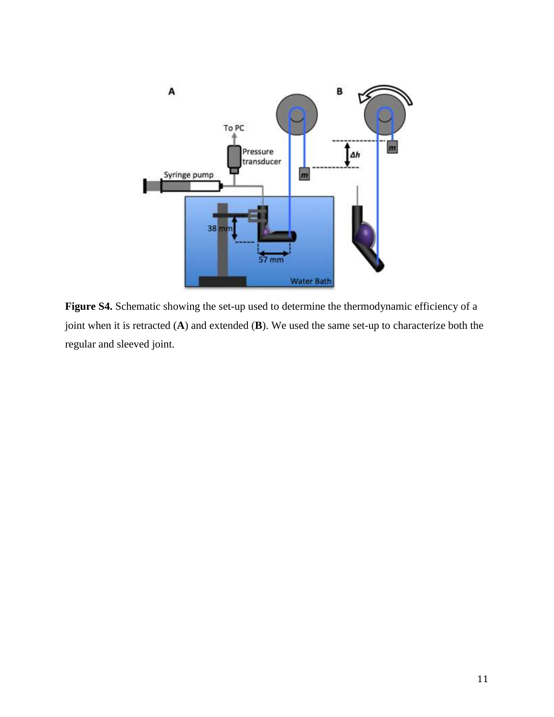

**Figure S4.** Schematic showing the set-up used to determine the thermodynamic efficiency of a joint when it is retracted (**A**) and extended (**B**). We used the same set-up to characterize both the regular and sleeved joint.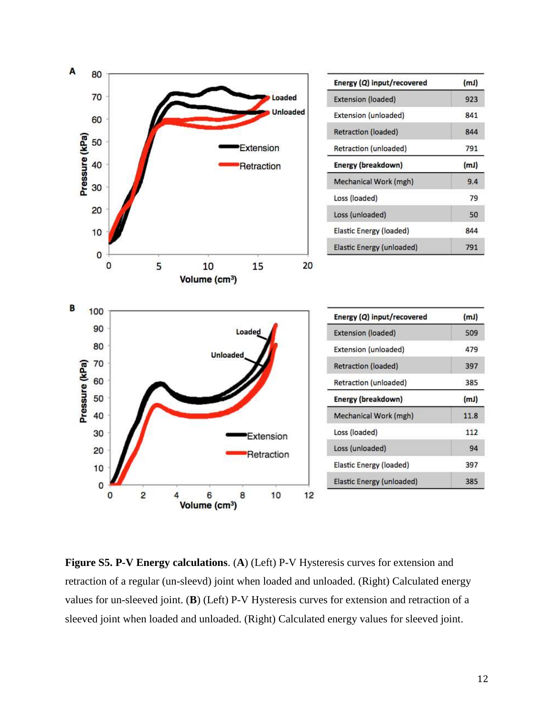

**Figure S5. P-V Energy calculations**. (**A**) (Left) P-V Hysteresis curves for extension and retraction of a regular (un-sleevd) joint when loaded and unloaded. (Right) Calculated energy values for un-sleeved joint. (**B**) (Left) P-V Hysteresis curves for extension and retraction of a sleeved joint when loaded and unloaded. (Right) Calculated energy values for sleeved joint.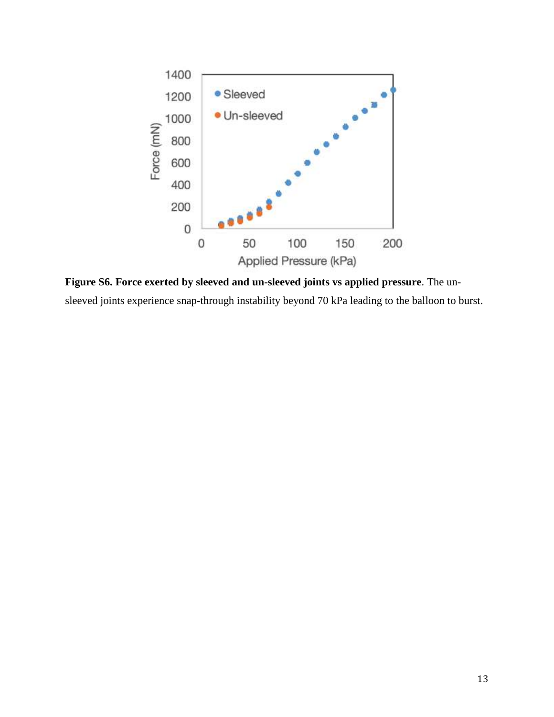

**Figure S6. Force exerted by sleeved and un-sleeved joints vs applied pressure**. The unsleeved joints experience snap-through instability beyond 70 kPa leading to the balloon to burst.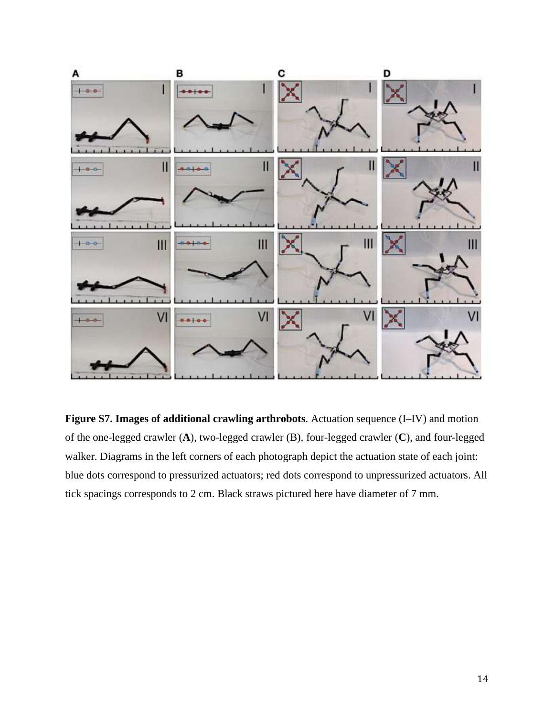

**Figure S7. Images of additional crawling arthrobots**. Actuation sequence (I–IV) and motion of the one-legged crawler (**A**), two-legged crawler (B), four-legged crawler (**C**), and four-legged walker. Diagrams in the left corners of each photograph depict the actuation state of each joint: blue dots correspond to pressurized actuators; red dots correspond to unpressurized actuators. All tick spacings corresponds to 2 cm. Black straws pictured here have diameter of 7 mm.